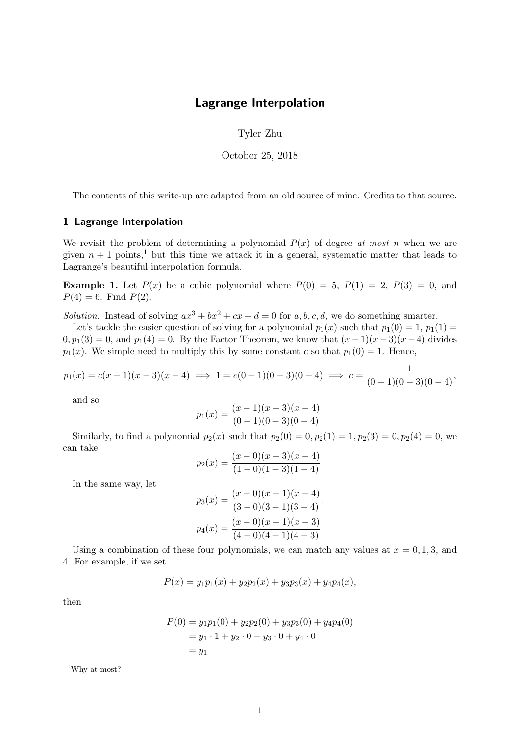## Lagrange Interpolation

Tyler Zhu

October 25, 2018

The contents of this write-up are adapted from an old source of mine. Credits to that source.

## 1 Lagrange Interpolation

We revisit the problem of determining a polynomial  $P(x)$  of degree at most n when we are given  $n + 1$  points,<sup>1</sup> but this time we attack it in a general, systematic matter that leads to Lagrange's beautiful interpolation formula.

**Example 1.** Let  $P(x)$  be a cubic polynomial where  $P(0) = 5$ ,  $P(1) = 2$ ,  $P(3) = 0$ , and  $P(4) = 6$ . Find  $P(2)$ .

Solution. Instead of solving  $ax^3 + bx^2 + cx + d = 0$  for a, b, c, d, we do something smarter.

Let's tackle the easier question of solving for a polynomial  $p_1(x)$  such that  $p_1(0) = 1$ ,  $p_1(1) =$  $0, p_1(3) = 0$ , and  $p_1(4) = 0$ . By the Factor Theorem, we know that  $(x-1)(x-3)(x-4)$  divides  $p_1(x)$ . We simple need to multiply this by some constant c so that  $p_1(0) = 1$ . Hence,

$$
p_1(x) = c(x-1)(x-3)(x-4) \implies 1 = c(0-1)(0-3)(0-4) \implies c = \frac{1}{(0-1)(0-3)(0-4)},
$$

and so

$$
p_1(x) = \frac{(x-1)(x-3)(x-4)}{(0-1)(0-3)(0-4)}.
$$

Similarly, to find a polynomial  $p_2(x)$  such that  $p_2(0) = 0, p_2(1) = 1, p_2(3) = 0, p_2(4) = 0$ , we can take

$$
p_2(x) = \frac{(x-0)(x-3)(x-4)}{(1-0)(1-3)(1-4)}.
$$

In the same way, let

$$
p_3(x) = \frac{(x-0)(x-1)(x-4)}{(3-0)(3-1)(3-4)},
$$
  

$$
p_4(x) = \frac{(x-0)(x-1)(x-3)}{(4-0)(4-1)(4-3)}.
$$

Using a combination of these four polynomials, we can match any values at  $x = 0, 1, 3$ , and 4. For example, if we set

$$
P(x) = y_1 p_1(x) + y_2 p_2(x) + y_3 p_3(x) + y_4 p_4(x),
$$

then

$$
P(0) = y_1 p_1(0) + y_2 p_2(0) + y_3 p_3(0) + y_4 p_4(0)
$$
  
=  $y_1 \cdot 1 + y_2 \cdot 0 + y_3 \cdot 0 + y_4 \cdot 0$   
=  $y_1$ 

<sup>1</sup>Why at most?